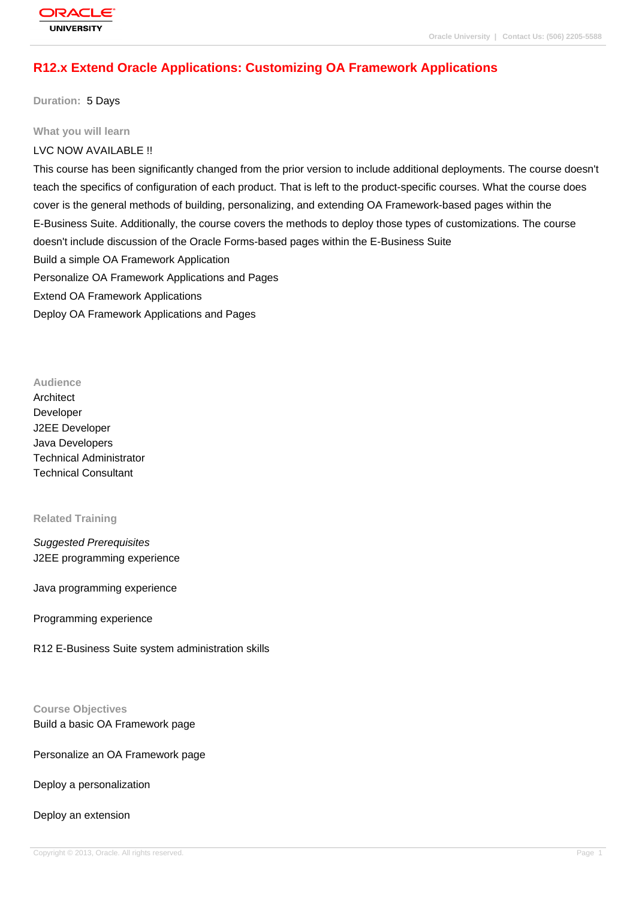# **[R12.x Extend O](http://education.oracle.com/pls/web_prod-plq-dad/db_pages.getpage?page_id=3)racle Applications: Customizing OA Framework Applications**

**Duration:** 5 Days

#### **What you will learn**

### LVC NOW AVAILABLE !!

This course has been significantly changed from the prior version to include additional deployments. The course doesn't teach the specifics of configuration of each product. That is left to the product-specific courses. What the course does cover is the general methods of building, personalizing, and extending OA Framework-based pages within the E-Business Suite. Additionally, the course covers the methods to deploy those types of customizations. The course doesn't include discussion of the Oracle Forms-based pages within the E-Business Suite Build a simple OA Framework Application Personalize OA Framework Applications and Pages Extend OA Framework Applications Deploy OA Framework Applications and Pages

#### **Audience**

**Architect** Developer J2EE Developer Java Developers Technical Administrator Technical Consultant

#### **Related Training**

Suggested Prerequisites J2EE programming experience

Java programming experience

### Programming experience

R12 E-Business Suite system administration skills

#### **Course Objectives**

Build a basic OA Framework page

### Personalize an OA Framework page

Deploy a personalization

#### Deploy an extension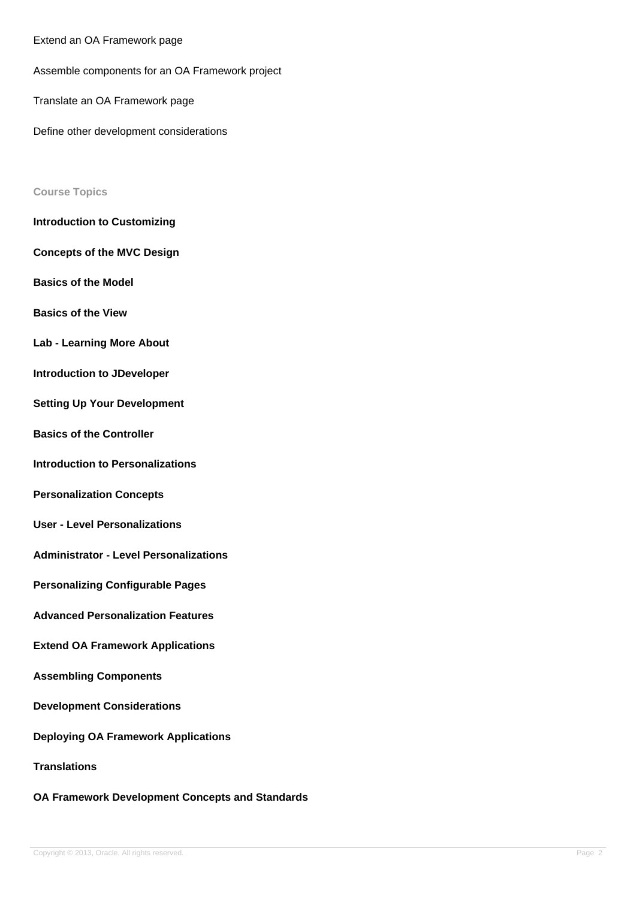Extend an OA Framework page

Assemble components for an OA Framework project

Translate an OA Framework page

Define other development considerations

#### **Course Topics**

- **Introduction to Customizing**
- **Concepts of the MVC Design**
- **Basics of the Model**
- **Basics of the View**
- **Lab Learning More About**
- **Introduction to JDeveloper**
- **Setting Up Your Development**
- **Basics of the Controller**
- **Introduction to Personalizations**
- **Personalization Concepts**
- **User Level Personalizations**
- **Administrator Level Personalizations**
- **Personalizing Configurable Pages**
- **Advanced Personalization Features**
- **Extend OA Framework Applications**
- **Assembling Components**
- **Development Considerations**
- **Deploying OA Framework Applications**
- **Translations**
- **OA Framework Development Concepts and Standards**